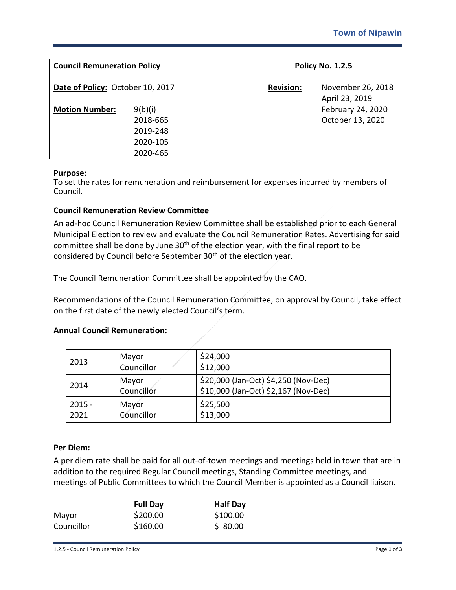| <b>Council Remuneration Policy</b><br>Date of Policy: October 10, 2017 |                                                         | <b>Policy No. 1.2.5</b> |                                       |
|------------------------------------------------------------------------|---------------------------------------------------------|-------------------------|---------------------------------------|
|                                                                        |                                                         | <b>Revision:</b>        | November 26, 2018<br>April 23, 2019   |
| <b>Motion Number:</b>                                                  | 9(b)(i)<br>2018-665<br>2019-248<br>2020-105<br>2020-465 |                         | February 24, 2020<br>October 13, 2020 |

#### **Purpose:**

To set the rates for remuneration and reimbursement for expenses incurred by members of Council.

### **Council Remuneration Review Committee**

An ad-hoc Council Remuneration Review Committee shall be established prior to each General Municipal Election to review and evaluate the Council Remuneration Rates. Advertising for said committee shall be done by June  $30<sup>th</sup>$  of the election year, with the final report to be considered by Council before September 30<sup>th</sup> of the election year.

The Council Remuneration Committee shall be appointed by the CAO.

Recommendations of the Council Remuneration Committee, on approval by Council, take effect on the first date of the newly elected Council's term.

#### **Annual Council Remuneration:**

| 2013             | Mayor<br>Councillor | \$24,000<br>\$12,000                                                         |
|------------------|---------------------|------------------------------------------------------------------------------|
| 2014             | Mayor<br>Councillor | \$20,000 (Jan-Oct) \$4,250 (Nov-Dec)<br>\$10,000 (Jan-Oct) \$2,167 (Nov-Dec) |
| $2015 -$<br>2021 | Mayor<br>Councillor | \$25,500<br>\$13,000                                                         |

#### **Per Diem:**

A per diem rate shall be paid for all out-of-town meetings and meetings held in town that are in addition to the required Regular Council meetings, Standing Committee meetings, and meetings of Public Committees to which the Council Member is appointed as a Council liaison.

|            | <b>Full Day</b> | <b>Half Day</b> |
|------------|-----------------|-----------------|
| Mayor      | \$200.00        | \$100.00        |
| Councillor | \$160.00        | \$80.00         |

1.2.5 - Council Remuneration Policy Page **1** of **3**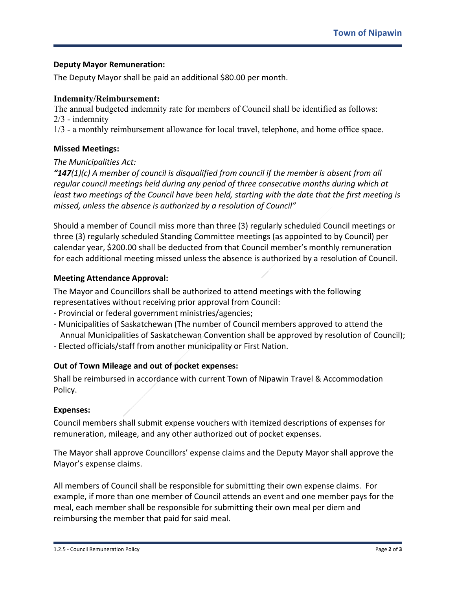## **Deputy Mayor Remuneration:**

The Deputy Mayor shall be paid an additional \$80.00 per month.

## **Indemnity/Reimbursement:**

The annual budgeted indemnity rate for members of Council shall be identified as follows: 2/3 - indemnity

1/3 - a monthly reimbursement allowance for local travel, telephone, and home office space.

## **Missed Meetings:**

## *The Municipalities Act:*

*"147(1)(c) A member of council is disqualified from council if the member is absent from all regular council meetings held during any period of three consecutive months during which at least two meetings of the Council have been held, starting with the date that the first meeting is missed, unless the absence is authorized by a resolution of Council"*

Should a member of Council miss more than three (3) regularly scheduled Council meetings or three (3) regularly scheduled Standing Committee meetings (as appointed to by Council) per calendar year, \$200.00 shall be deducted from that Council member's monthly remuneration for each additional meeting missed unless the absence is authorized by a resolution of Council.

## **Meeting Attendance Approval:**

The Mayor and Councillors shall be authorized to attend meetings with the following representatives without receiving prior approval from Council:

- Provincial or federal government ministries/agencies;
- Municipalities of Saskatchewan (The number of Council members approved to attend the Annual Municipalities of Saskatchewan Convention shall be approved by resolution of Council);
- Elected officials/staff from another municipality or First Nation.

# **Out of Town Mileage and out of pocket expenses:**

Shall be reimbursed in accordance with current Town of Nipawin Travel & Accommodation Policy.

## **Expenses:**

Council members shall submit expense vouchers with itemized descriptions of expenses for remuneration, mileage, and any other authorized out of pocket expenses.

The Mayor shall approve Councillors' expense claims and the Deputy Mayor shall approve the Mayor's expense claims.

All members of Council shall be responsible for submitting their own expense claims. For example, if more than one member of Council attends an event and one member pays for the meal, each member shall be responsible for submitting their own meal per diem and reimbursing the member that paid for said meal.